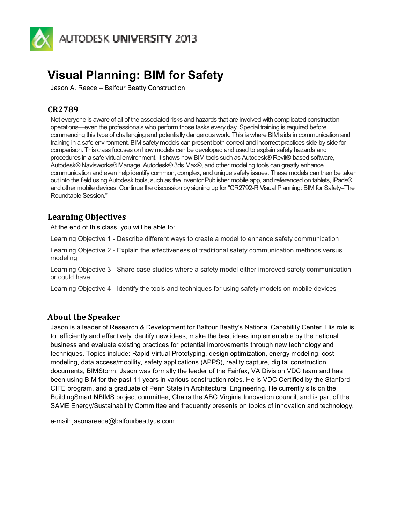

# **Visual Planning: BIM for Safety**

Jason A. Reece – Balfour Beatty Construction

# **CR2789**

Not everyone is aware of all of the associated risks and hazards that are involved with complicated construction operations—even the professionals who perform those tasks every day. Special training is required before commencing this type of challenging and potentially dangerous work. This is where BIM aids in communication and training in a safe environment. BIM safety models can present both correct and incorrect practices side-by-side for comparison. This class focuses on how models can be developed and used to explain safety hazards and procedures in a safe virtual environment. It shows how BIM tools such as Autodesk® Revit®-based software, Autodesk® Navisworks® Manage, Autodesk® 3ds Max®, and other modeling tools can greatly enhance communication and even help identify common, complex, and unique safety issues. These models can then be taken out into the field using Autodesk tools, such as the Inventor Publisher mobile app, and referenced on tablets, iPads®, and other mobile devices. Continue the discussion by signing up for "CR2792-R Visual Planning: BIM for Safety–The Roundtable Session."

## **Learning Objectives**

At the end of this class, you will be able to:

Learning Objective 1 - Describe different ways to create a model to enhance safety communication

Learning Objective 2 - Explain the effectiveness of traditional safety communication methods versus modeling

Learning Objective 3 - Share case studies where a safety model either improved safety communication or could have

Learning Objective 4 - Identify the tools and techniques for using safety models on mobile devices

## **About the Speaker**

Jason is a leader of Research & Development for Balfour Beatty's National Capability Center. His role is to: efficiently and effectively identify new ideas, make the best ideas implementable by the national business and evaluate existing practices for potential improvements through new technology and techniques. Topics include: Rapid Virtual Prototyping, design optimization, energy modeling, cost modeling, data access/mobility, safety applications (APPS), reality capture, digital construction documents, BIMStorm. Jason was formally the leader of the Fairfax, VA Division VDC team and has been using BIM for the past 11 years in various construction roles. He is VDC Certified by the Stanford CIFE program, and a graduate of Penn State in Architectural Engineering. He currently sits on the BuildingSmart NBIMS project committee, Chairs the ABC Virginia Innovation council, and is part of the SAME Energy/Sustainability Committee and frequently presents on topics of innovation and technology.

e-mail: jasonareece@balfourbeattyus.com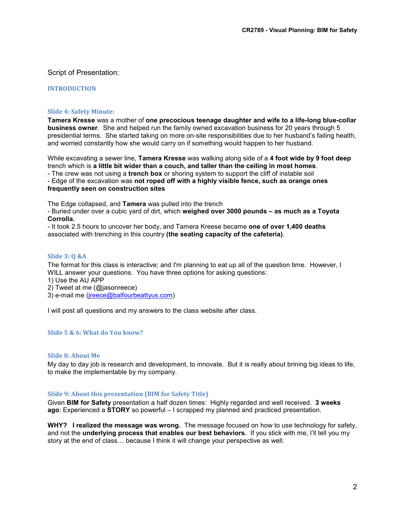#### Script of Presentation:

#### **INTRODUCTION**

#### **Slide 4: Safety Minute:**

**Tamera Kresse** was a mother of **one precocious teenage daughter and wife to a life-long blue-collar business owner**. She and helped run the family owned excavation business for 20 years through 5 presidential terms. She started taking on more on-site responsibilities due to her husband's failing health, and worried constantly how she would carry on if something would happen to her husband.

While excavating a sewer line, **Tamera Kresse** was walking along side of a **4 foot wide by 9 foot deep**  trench which is **a little bit wider than a couch, and taller than the ceiling in most homes**.

- The crew was not using a **trench box** or shoring system to support the cliff of instable soil

- Edge of the excavation was **not roped off with a highly visible fence, such as orange ones frequently seen on construction sites**

The Edge collapsed, and **Tamera** was pulled into the trench

- Buried under over a cubic yard of dirt, which **weighed over 3000 pounds – as much as a Toyota Corrolla.**

- It took 2.5 hours to uncover her body, and Tamera Kreese became **one of over 1,400 deaths**  associated with trenching in this country **(the seating capacity of the cafeteria)**.

#### **Slide 3: Q &A**

The format for this class is interactive; and I'm planning to eat up all of the question time. However, I WILL answer your questions. You have three options for asking questions:

- 1) Use the AU APP
- 2) Tweet at me (@jasonreece)
- 3) e-mail me (jreece@balfourbeattyus.com)

I will post all questions and my answers to the class website after class.

#### **Slide 5 & 6: What do You know?**

#### **Slide 8: About Me**

My day to day job is research and development, to innovate. But it is really about brining big ideas to life, to make the implementable by my company.

#### **Slide 9: About this presentation (BIM for Safety Title)**

Given **BIM for Safety** presentation a half dozen times: Highly regarded and well received. **3 weeks ago**: Experienced a **STORY** so powerful – I scrapped my planned and practiced presentation.

**WHY? I realized the message was wrong.** The message focused on how to use technology for safety, and not the **underlying process that enables our best behaviors.** If you stick with me, I'll tell you my story at the end of class... because I think it will change your perspective as well.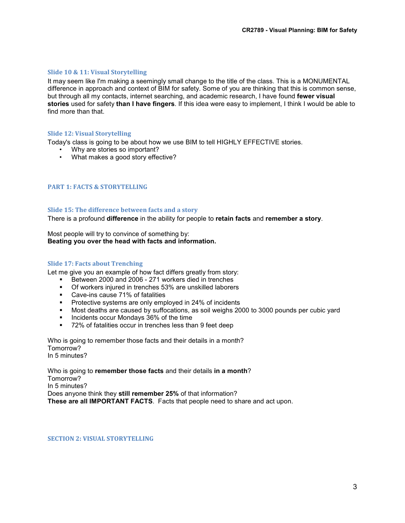#### **Slide 10 & 11: Visual Storytelling**

It may seem like I'm making a seemingly small change to the title of the class. This is a MONUMENTAL difference in approach and context of BIM for safety. Some of you are thinking that this is common sense, but through all my contacts, internet searching, and academic research, I have found **fewer visual stories** used for safety **than I have fingers**. If this idea were easy to implement, I think I would be able to find more than that.

#### **Slide 12: Visual Storytelling**

Today's class is going to be about how we use BIM to tell HIGHLY EFFECTIVE stories.

- Why are stories so important?
- What makes a good story effective?

#### **PART 1: FACTS & STORYTELLING**

#### **Slide 15: The difference between facts and a story**

There is a profound **difference** in the ability for people to **retain facts** and **remember a story**.

Most people will try to convince of something by: **Beating you over the head with facts and information.**

#### **Slide 17: Facts about Trenching**

Let me give you an example of how fact differs greatly from story:

- Between 2000 and 2006 271 workers died in trenches
- Of workers injured in trenches 53% are unskilled laborers
- Cave-ins cause 71% of fatalities
- **Protective systems are only employed in 24% of incidents**
- Most deaths are caused by suffocations, as soil weighs 2000 to 3000 pounds per cubic yard
- Incidents occur Mondays 36% of the time<br>■ 72% of fatalities occur in trenches less that
- 72% of fatalities occur in trenches less than 9 feet deep

Who is going to remember those facts and their details in a month? Tomorrow? In 5 minutes?

Who is going to **remember those facts** and their details **in a month**? Tomorrow? In 5 minutes? Does anyone think they **still remember 25%** of that information? **These are all IMPORTANT FACTS**. Facts that people need to share and act upon.

**SECTION 2: VISUAL STORYTELLING**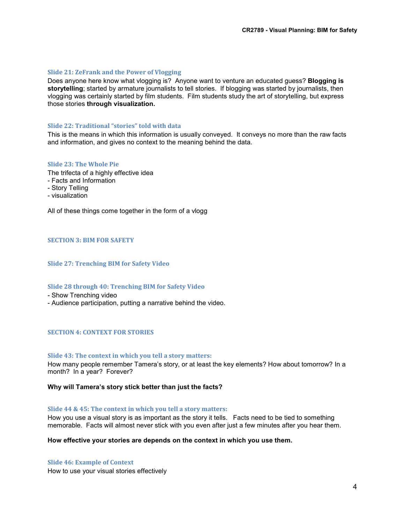#### **Slide 21: ZeFrank and the Power of Vlogging**

Does anyone here know what vlogging is? Anyone want to venture an educated guess? **Blogging is storytelling**; started by armature journalists to tell stories. If blogging was started by journalists, then vlogging was certainly started by film students. Film students study the art of storytelling, but express those stories **through visualization.**

#### **Slide 22: Traditional "stories" told with data**

This is the means in which this information is usually conveyed. It conveys no more than the raw facts and information, and gives no context to the meaning behind the data.

#### **Slide 23: The Whole Pie**

- The trifecta of a highly effective idea
- Facts and Information
- Story Telling
- visualization

All of these things come together in the form of a vlogg

#### **SECTION 3: BIM FOR SAFETY**

#### **Slide 27: Trenching BIM for Safety Video**

#### **Slide 28 through 40: Trenching BIM for Safety Video**

- Show Trenching video
- Audience participation, putting a narrative behind the video.

#### **SECTION 4: CONTEXT FOR STORIES**

#### **Slide 43: The context in which you tell a story matters:**

How many people remember Tamera's story, or at least the key elements? How about tomorrow? In a month? In a year? Forever?

#### **Why will Tamera's story stick better than just the facts?**

#### **Slide 44 & 45: The context in which you tell a story matters:**

How you use a visual story is as important as the story it tells. Facts need to be tied to something memorable. Facts will almost never stick with you even after just a few minutes after you hear them.

#### **How effective your stories are depends on the context in which you use them.**

**Slide 46: Example of Context**  How to use your visual stories effectively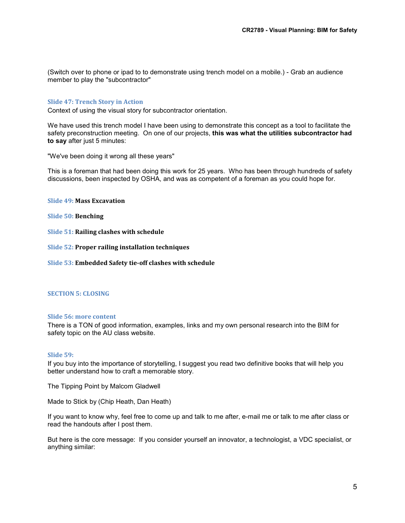(Switch over to phone or ipad to to demonstrate using trench model on a mobile.) - Grab an audience member to play the "subcontractor"

#### **Slide 47: Trench Story in Action**

Context of using the visual story for subcontractor orientation.

We have used this trench model I have been using to demonstrate this concept as a tool to facilitate the safety preconstruction meeting. On one of our projects, **this was what the utilities subcontractor had to say** after just 5 minutes:

"We've been doing it wrong all these years"

This is a foreman that had been doing this work for 25 years. Who has been through hundreds of safety discussions, been inspected by OSHA, and was as competent of a foreman as you could hope for.

**Slide 49: Mass Excavation**

**Slide 50: Benching**

**Slide 51: Railing clashes with schedule**

**Slide 52: Proper railing installation techniques**

**Slide 53: Embedded Safety tie-off clashes with schedule**

#### **SECTION 5: CLOSING**

#### **Slide 56: more content**

There is a TON of good information, examples, links and my own personal research into the BIM for safety topic on the AU class website.

#### **Slide 59:**

If you buy into the importance of storytelling, I suggest you read two definitive books that will help you better understand how to craft a memorable story.

The Tipping Point by Malcom Gladwell

Made to Stick by (Chip Heath, Dan Heath)

If you want to know why, feel free to come up and talk to me after, e-mail me or talk to me after class or read the handouts after I post them.

But here is the core message: If you consider yourself an innovator, a technologist, a VDC specialist, or anything similar: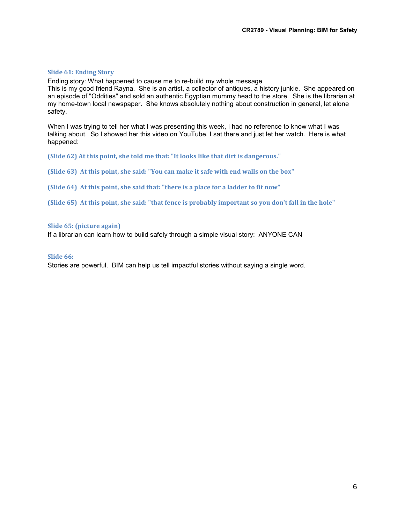#### **Slide 61: Ending Story**

Ending story: What happened to cause me to re-build my whole message

This is my good friend Rayna. She is an artist, a collector of antiques, a history junkie. She appeared on an episode of "Oddities" and sold an authentic Egyptian mummy head to the store. She is the librarian at my home-town local newspaper. She knows absolutely nothing about construction in general, let alone safety.

When I was trying to tell her what I was presenting this week, I had no reference to know what I was talking about. So I showed her this video on YouTube. I sat there and just let her watch. Here is what happened:

**(Slide 62) At this point, she told me that: "It looks like that dirt is dangerous."** 

**(Slide 63) At this point, she said: "You can make it safe with end walls on the box"** 

**(Slide 64) At this point, she said that: "there is a place for a ladder to fit now"** 

**(Slide 65) At this point, she said: "that fence is probably important so you don't fall in the hole"** 

#### **Slide 65: (picture again)**

If a librarian can learn how to build safely through a simple visual story: ANYONE CAN

#### **Slide 66:**

Stories are powerful. BIM can help us tell impactful stories without saying a single word.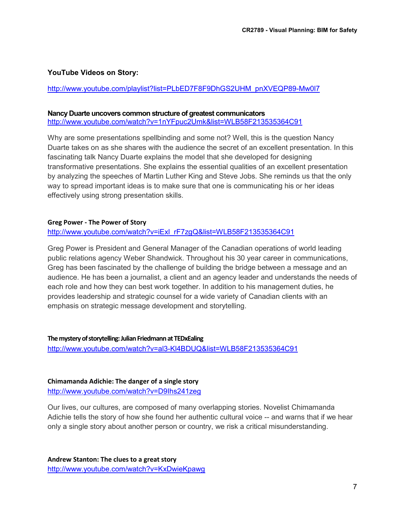#### **YouTube Videos on Story:**

http://www.youtube.com/playlist?list=PLbED7F8F9DhGS2UHM\_pnXVEQP89-Mw0l7

#### **Nancy Duarte uncovers common structure of greatest communicators**

http://www.youtube.com/watch?v=1nYFpuc2Umk&list=WLB58F213535364C91

Why are some presentations spellbinding and some not? Well, this is the question Nancy Duarte takes on as she shares with the audience the secret of an excellent presentation. In this fascinating talk Nancy Duarte explains the model that she developed for designing transformative presentations. She explains the essential qualities of an excellent presentation by analyzing the speeches of Martin Luther King and Steve Jobs. She reminds us that the only way to spread important ideas is to make sure that one is communicating his or her ideas effectively using strong presentation skills.

#### **Greg Power - The Power of Story**

#### http://www.youtube.com/watch?v=iExl\_rF7zqQ&list=WLB58F213535364C91

Greg Power is President and General Manager of the Canadian operations of world leading public relations agency Weber Shandwick. Throughout his 30 year career in communications, Greg has been fascinated by the challenge of building the bridge between a message and an audience. He has been a journalist, a client and an agency leader and understands the needs of each role and how they can best work together. In addition to his management duties, he provides leadership and strategic counsel for a wide variety of Canadian clients with an emphasis on strategic message development and storytelling.

#### **The mystery of storytelling: Julian Friedmann at TEDxEaling**

http://www.youtube.com/watch?v=al3-Kl4BDUQ&list=WLB58F213535364C91

#### **Chimamanda Adichie: The danger of a single story** http://www.youtube.com/watch?v=D9Ihs241zeg

Our lives, our cultures, are composed of many overlapping stories. Novelist Chimamanda Adichie tells the story of how she found her authentic cultural voice -- and warns that if we hear only a single story about another person or country, we risk a critical misunderstanding.

**Andrew Stanton: The clues to a great story** http://www.youtube.com/watch?v=KxDwieKpawg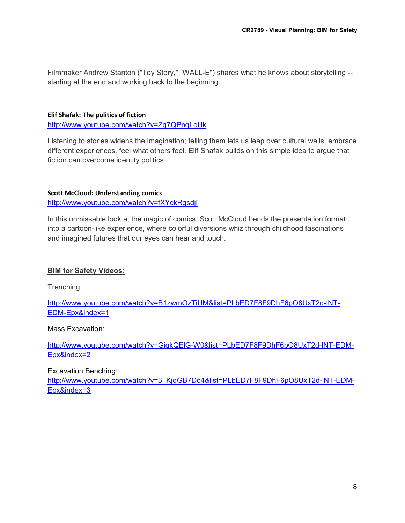Filmmaker Andrew Stanton ("Toy Story," "WALL-E") shares what he knows about storytelling - starting at the end and working back to the beginning.

#### **Elif Shafak: The politics of fiction**

http://www.youtube.com/watch?v=Zq7QPnqLoUk

Listening to stories widens the imagination; telling them lets us leap over cultural walls, embrace different experiences, feel what others feel. Elif Shafak builds on this simple idea to argue that fiction can overcome identity politics.

#### **Scott McCloud: Understanding comics**

http://www.youtube.com/watch?v=fXYckRgsdjI

In this unmissable look at the magic of comics, Scott McCloud bends the presentation format into a cartoon-like experience, where colorful diversions whiz through childhood fascinations and imagined futures that our eyes can hear and touch.

#### **BIM for Safety Videos:**

Trenching:

http://www.youtube.com/watch?v=B1zwmOzTiUM&list=PLbED7F8F9DhF6pO8UxT2d-lNT-EDM-Epx&index=1

Mass Excavation:

http://www.youtube.com/watch?v=GigkQElG-W0&list=PLbED7F8F9DhF6pO8UxT2d-lNT-EDM-Epx&index=2

Excavation Benching:

http://www.youtube.com/watch?v=3\_KjqGB7Do4&list=PLbED7F8F9DhF6pO8UxT2d-lNT-EDM-Epx&index=3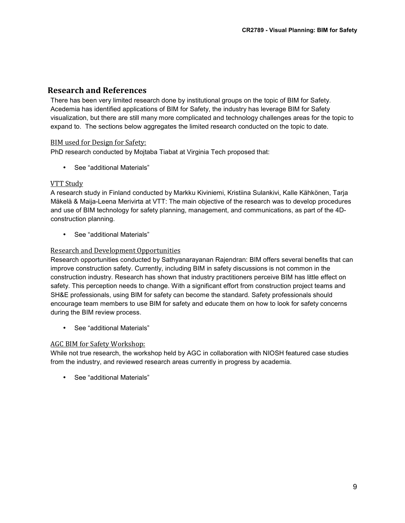# **Research and References**

There has been very limited research done by institutional groups on the topic of BIM for Safety. Acedemia has identified applications of BIM for Safety, the industry has leverage BIM for Safety visualization, but there are still many more complicated and technology challenges areas for the topic to expand to. The sections below aggregates the limited research conducted on the topic to date.

#### BIM used for Design for Safety:

PhD research conducted by Mojtaba Tiabat at Virginia Tech proposed that:

• See "additional Materials"

#### VTT Study

A research study in Finland conducted by Markku Kiviniemi, Kristiina Sulankivi, Kalle Kähkönen, Tarja Mäkelä & Maija-Leena Merivirta at VTT: The main objective of the research was to develop procedures and use of BIM technology for safety planning, management, and communications, as part of the 4Dconstruction planning.

• See "additional Materials"

#### Research and Development Opportunities

Research opportunities conducted by Sathyanarayanan Rajendran: BIM offers several benefits that can improve construction safety. Currently, including BIM in safety discussions is not common in the construction industry. Research has shown that industry practitioners perceive BIM has little effect on safety. This perception needs to change. With a significant effort from construction project teams and SH&E professionals, using BIM for safety can become the standard. Safety professionals should encourage team members to use BIM for safety and educate them on how to look for safety concerns during the BIM review process.

• See "additional Materials"

#### AGC BIM for Safety Workshop:

While not true research, the workshop held by AGC in collaboration with NIOSH featured case studies from the industry, and reviewed research areas currently in progress by academia.

• See "additional Materials"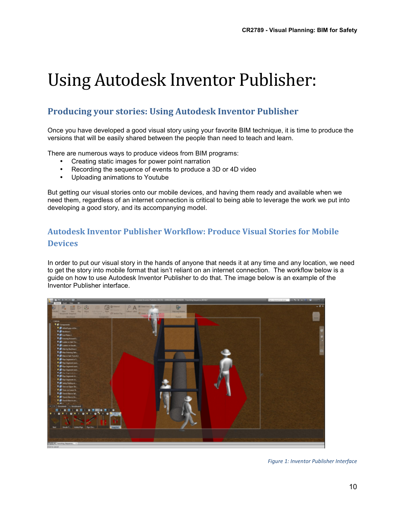# Using Autodesk Inventor Publisher:

# **Producing your stories: Using Autodesk Inventor Publisher**

Once you have developed a good visual story using your favorite BIM technique, it is time to produce the versions that will be easily shared between the people than need to teach and learn.

There are numerous ways to produce videos from BIM programs:

- Creating static images for power point narration
- Recording the sequence of events to produce a 3D or 4D video
- Uploading animations to Youtube

But getting our visual stories onto our mobile devices, and having them ready and available when we need them, regardless of an internet connection is critical to being able to leverage the work we put into developing a good story, and its accompanying model.

# **Autodesk Inventor Publisher Workflow: Produce Visual Stories for Mobile Devices**

In order to put our visual story in the hands of anyone that needs it at any time and any location, we need to get the story into mobile format that isn't reliant on an internet connection. The workflow below is a guide on how to use Autodesk Inventor Publisher to do that. The image below is an example of the Inventor Publisher interface.



*Figure 1: Inventor Publisher Interface*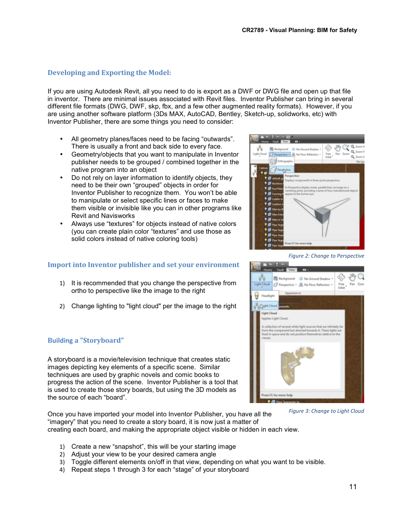**ER** Background

Orthographic

**B** + **B** Indi **B**  $\bullet$ 

Ch. Mar Garment Grand Perspective - Q, No Floor Reflection

#### **Developing and Exporting the Model:**

If you are using Autodesk Revit, all you need to do is export as a DWF or DWG file and open up that file in inventor. There are minimal issues associated with Revit files. Inventor Publisher can bring in several different file formats (DWG, DWF, skp, fbx, and a few other augmented reality formats). However, if you are using another software platform (3Ds MAX, AutoCAD, Bentley, Sketch-up, solidworks, etc) with Inventor Publisher, there are some things you need to consider:

- All geometry planes/faces need to be facing "outwards". There is usually a front and back side to every face.
- Geometry/objects that you want to manipulate in Inventor publisher needs to be grouped / combined together in the native program into an object
- Do not rely on layer information to identify objects, they need to be their own "grouped" objects in order for Inventor Publisher to recognize them. You won't be able to manipulate or select specific lines or faces to make them visible or invisible like you can in other programs like Revit and Navisworks
- Always use "textures" for objects instead of native colors (you can create plain color "textures" and use those as solid colors instead of native coloring tools)

#### **Import into Inventor publisher and set your environment**

- 1) It is recommended that you change the perspective from ortho to perspective like the image to the right
- 2) Change lighting to "light cloud" per the image to the right

#### **Building a "Storyboard"**

A storyboard is a movie/television technique that creates static images depicting key elements of a specific scene. Similar techniques are used by graphic novels and comic books to progress the action of the scene. Inventor Publisher is a tool that is used to create those story boards, but using the 3D models as the source of each "board".

Once you have imported your model into Inventor Publisher, you have all the "imagery" that you need to create a story board, it is now just a matter of creating each board, and making the appropriate object visible or hidden in each view. *Figure 3: Change to Light Cloud*

- 1) Create a new "snapshot", this will be your starting image
- 2) Adjust your view to be your desired camera angle
- 3) Toggle different elements on/off in that view, depending on what you want to be visible.
- 4) Repeat steps 1 through 3 for each "stage" of your storyboard

*Figure 2: Change to Perspective*



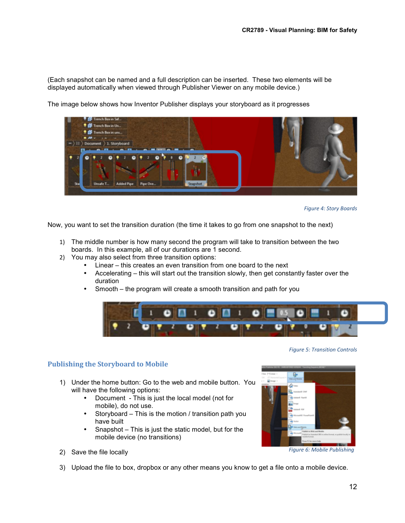(Each snapshot can be named and a full description can be inserted. These two elements will be displayed automatically when viewed through Publisher Viewer on any mobile device.)



The image below shows how Inventor Publisher displays your storyboard as it progresses



Now, you want to set the transition duration (the time it takes to go from one snapshot to the next)

- 1) The middle number is how many second the program will take to transition between the two boards. In this example, all of our durations are 1 second.
- 2) You may also select from three transition options:
	- Linear this creates an even transition from one board to the next
	- Accelerating this will start out the transition slowly, then get constantly faster over the duration
	- Smooth the program will create a smooth transition and path for you



#### **Publishing the Storyboard to Mobile**

- 1) Under the home button: Go to the web and mobile button. You will have the following options:
	- Document This is just the local model (not for mobile), do not use.
	- Storyboard This is the motion / transition path you have built
	- Snapshot This is just the static model, but for the mobile device (no transitions)
- m. *Figure 6: Mobile Publishing*
- 2) Save the file locally
- 3) Upload the file to box, dropbox or any other means you know to get a file onto a mobile device.

*Figure 5: Transition Controls*